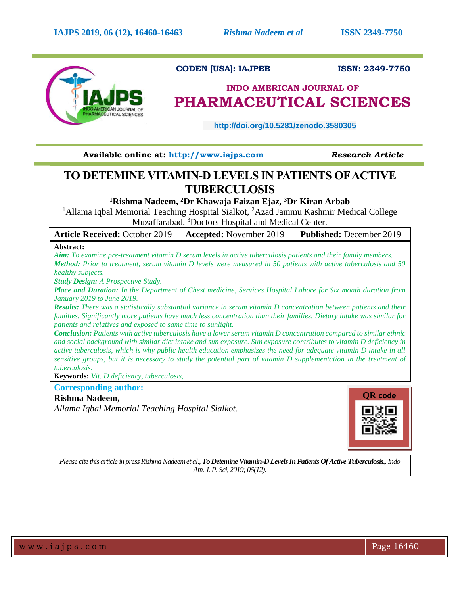

## **CODEN [USA]: IAJPBB ISSN: 2349-7750**

# **INDO AMERICAN JOURNAL OF PHARMACEUTICAL SCIENCES**

 **http://doi.org/10.5281/zenodo.3580305** 

**Available online at: [http://www.iajps.com](http://www.iajps.com/)** *Research Article*

## **TO DETEMINE VITAMIN-D LEVELS IN PATIENTS OF ACTIVE TUBERCULOSIS**

**<sup>1</sup>Rishma Nadeem, <sup>2</sup>Dr Khawaja Faizan Ejaz, <sup>3</sup>Dr Kiran Arbab**

<sup>1</sup>Allama Iqbal Memorial Teaching Hospital Sialkot, <sup>2</sup>Azad Jammu Kashmir Medical College Muzaffarabad, <sup>3</sup>Doctors Hospital and Medical Center.

| <b>Article Received: October 2019</b> | <b>Accepted:</b> November 2019 | <b>Published:</b> December 2019 |
|---------------------------------------|--------------------------------|---------------------------------|
| Abstract:                             |                                |                                 |

*Aim: To examine pre-treatment vitamin D serum levels in active tuberculosis patients and their family members. Method: Prior to treatment, serum vitamin D levels were measured in 50 patients with active tuberculosis and 50 healthy subjects.*

*Study Design: A Prospective Study.*

*Place and Duration: In the Department of Chest medicine, Services Hospital Lahore for Six month duration from January 2019 to June 2019.*

*Results: There was a statistically substantial variance in serum vitamin D concentration between patients and their families. Significantly more patients have much less concentration than their families. Dietary intake was similar for patients and relatives and exposed to same time to sunlight.*

*Conclusion: Patients with active tuberculosis have a lower serum vitamin D concentration compared to similar ethnic and social background with similar diet intake and sun exposure. Sun exposure contributes to vitamin D deficiency in active tuberculosis, which is why public health education emphasizes the need for adequate vitamin D intake in all sensitive groups, but it is necessary to study the potential part of vitamin D supplementation in the treatment of tuberculosis.*

**Keywords:** *Vit. D deficiency, tuberculosis,*

**Corresponding author:** 

### **Rishma Nadeem,**

*Allama Iqbal Memorial Teaching Hospital Sialkot.*



*Please cite this article in press Rishma Nadeemet al., To Detemine Vitamin-D Levels In Patients Of Active Tuberculosis.,Indo Am. J. P. Sci, 2019; 06(12).*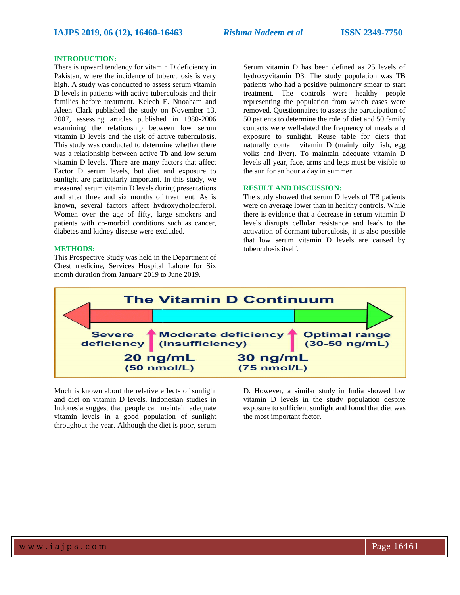#### **INTRODUCTION:**

There is upward tendency for vitamin D deficiency in Pakistan, where the incidence of tuberculosis is very high. A study was conducted to assess serum vitamin D levels in patients with active tuberculosis and their families before treatment. Kelech E. Nnoaham and Aleen Clark published the study on November 13, 2007, assessing articles published in 1980-2006 examining the relationship between low serum vitamin D levels and the risk of active tuberculosis. This study was conducted to determine whether there was a relationship between active Tb and low serum vitamin D levels. There are many factors that affect Factor D serum levels, but diet and exposure to sunlight are particularly important. In this study, we measured serum vitamin D levels during presentations and after three and six months of treatment. As is known, several factors affect hydroxycholeciferol. Women over the age of fifty, large smokers and patients with co-morbid conditions such as cancer, diabetes and kidney disease were excluded.

#### **METHODS:**

This Prospective Study was held in the Department of Chest medicine, Services Hospital Lahore for Six month duration from January 2019 to June 2019.

Serum vitamin D has been defined as 25 levels of hydroxyvitamin D3. The study population was TB patients who had a positive pulmonary smear to start treatment. The controls were healthy people representing the population from which cases were removed. Questionnaires to assess the participation of 50 patients to determine the role of diet and 50 family contacts were well-dated the frequency of meals and exposure to sunlight. Reuse table for diets that naturally contain vitamin D (mainly oily fish, egg yolks and liver). To maintain adequate vitamin D levels all year, face, arms and legs must be visible to the sun for an hour a day in summer.

#### **RESULT AND DISCUSSION:**

The study showed that serum D levels of TB patients were on average lower than in healthy controls. While there is evidence that a decrease in serum vitamin D levels disrupts cellular resistance and leads to the activation of dormant tuberculosis, it is also possible that low serum vitamin D levels are caused by tuberculosis itself.



Much is known about the relative effects of sunlight and diet on vitamin D levels. Indonesian studies in Indonesia suggest that people can maintain adequate vitamin levels in a good population of sunlight throughout the year. Although the diet is poor, serum

D. However, a similar study in India showed low vitamin D levels in the study population despite exposure to sufficient sunlight and found that diet was the most important factor.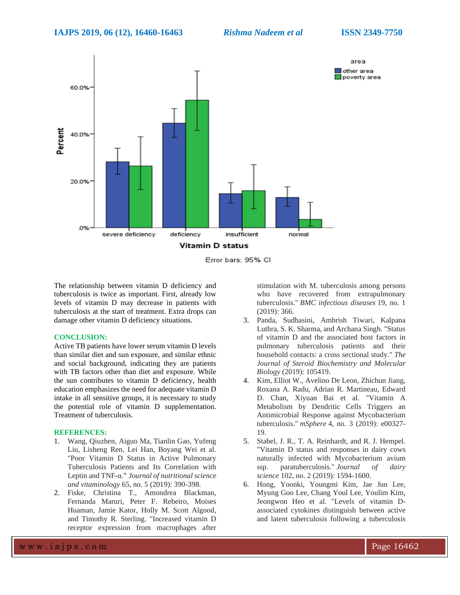

Error bars: 95% CI

The relationship between vitamin D deficiency and tuberculosis is twice as important. First, already low levels of vitamin D may decrease in patients with tuberculosis at the start of treatment. Extra drops can damage other vitamin D deficiency situations.

#### **CONCLUSION:**

Active TB patients have lower serum vitamin D levels than similar diet and sun exposure, and similar ethnic and social background, indicating they are patients with TB factors other than diet and exposure. While the sun contributes to vitamin D deficiency, health education emphasizes the need for adequate vitamin D intake in all sensitive groups, it is necessary to study the potential role of vitamin D supplementation. Treatment of tuberculosis.

#### **REFERENCES:**

- 1. Wang, Qiuzhen, Aiguo Ma, Tianlin Gao, Yufeng Liu, Lisheng Ren, Lei Han, Boyang Wei et al. "Poor Vitamin D Status in Active Pulmonary Tuberculosis Patients and Its Correlation with Leptin and TNF-α." *Journal of nutritional science and vitaminology* 65, no. 5 (2019): 390-398.
- 2. Fiske, Christina T., Amondrea Blackman, Fernanda Maruri, Peter F. Rebeiro, Moises Huaman, Jamie Kator, Holly M. Scott Algood, and Timothy R. Sterling. "Increased vitamin D receptor expression from macrophages after

stimulation with M. tuberculosis among persons who have recovered from extrapulmonary tuberculosis." *BMC infectious diseases* 19, no. 1 (2019): 366.

- 3. Panda, Sudhasini, Ambrish Tiwari, Kalpana Luthra, S. K. Sharma, and Archana Singh. "Status of vitamin D and the associated host factors in pulmonary tuberculosis patients and their household contacts: a cross sectional study." *The Journal of Steroid Biochemistry and Molecular Biology* (2019): 105419.
- 4. Kim, Elliot W., Avelino De Leon, Zhichun Jiang, Roxana A. Radu, Adrian R. Martineau, Edward D. Chan, Xiyuan Bai et al. "Vitamin A Metabolism by Dendritic Cells Triggers an Antimicrobial Response against Mycobacterium tuberculosis." *mSphere* 4, no. 3 (2019): e00327- 19.
- 5. Stabel, J. R., T. A. Reinhardt, and R. J. Hempel. "Vitamin D status and responses in dairy cows naturally infected with Mycobacterium avium ssp. paratuberculosis." *Journal of dairy science* 102, no. 2 (2019): 1594-1600.
- 6. Hong, Yoonki, Youngmi Kim, Jae Jun Lee, Myung Goo Lee, Chang Youl Lee, Youlim Kim, Jeongwon Heo et al. "Levels of vitamin Dassociated cytokines distinguish between active and latent tuberculosis following a tuberculosis